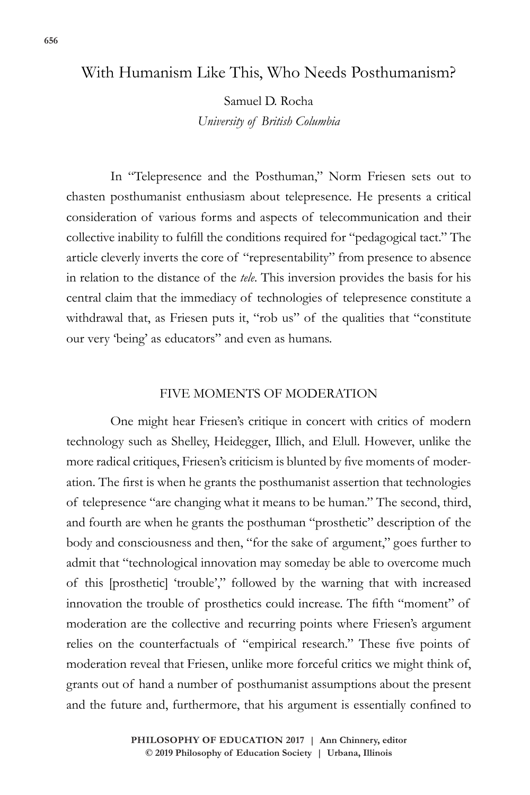# With Humanism Like This, Who Needs Posthumanism?

Samuel D. Rocha *University of British Columbia*

In "Telepresence and the Posthuman," Norm Friesen sets out to chasten posthumanist enthusiasm about telepresence. He presents a critical consideration of various forms and aspects of telecommunication and their collective inability to fulfill the conditions required for "pedagogical tact." The article cleverly inverts the core of "representability" from presence to absence in relation to the distance of the *tele*. This inversion provides the basis for his central claim that the immediacy of technologies of telepresence constitute a withdrawal that, as Friesen puts it, "rob us" of the qualities that "constitute our very 'being' as educators" and even as humans.

# FIVE MOMENTS OF MODERATION

One might hear Friesen's critique in concert with critics of modern technology such as Shelley, Heidegger, Illich, and Elull. However, unlike the more radical critiques, Friesen's criticism is blunted by five moments of moderation. The first is when he grants the posthumanist assertion that technologies of telepresence "are changing what it means to be human." The second, third, and fourth are when he grants the posthuman "prosthetic" description of the body and consciousness and then, "for the sake of argument," goes further to admit that "technological innovation may someday be able to overcome much of this [prosthetic] 'trouble'," followed by the warning that with increased innovation the trouble of prosthetics could increase. The fifth "moment" of moderation are the collective and recurring points where Friesen's argument relies on the counterfactuals of "empirical research." These five points of moderation reveal that Friesen, unlike more forceful critics we might think of, grants out of hand a number of posthumanist assumptions about the present and the future and, furthermore, that his argument is essentially confined to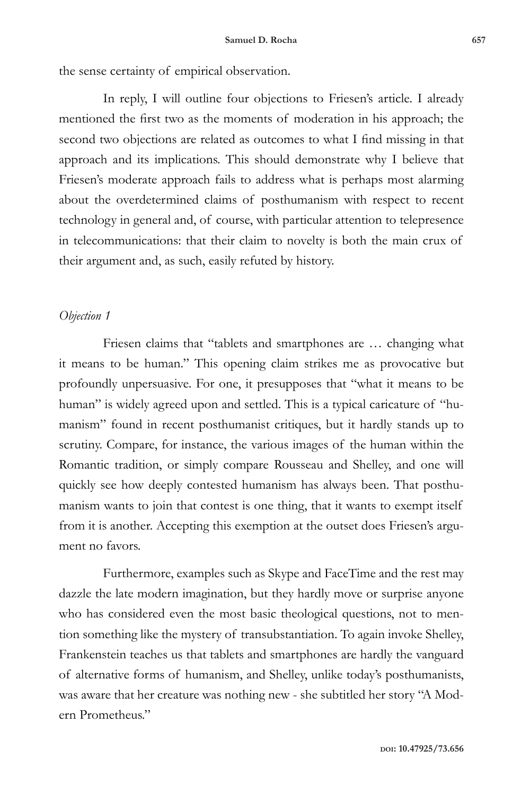the sense certainty of empirical observation.

In reply, I will outline four objections to Friesen's article. I already mentioned the first two as the moments of moderation in his approach; the second two objections are related as outcomes to what I find missing in that approach and its implications. This should demonstrate why I believe that Friesen's moderate approach fails to address what is perhaps most alarming about the overdetermined claims of posthumanism with respect to recent technology in general and, of course, with particular attention to telepresence in telecommunications: that their claim to novelty is both the main crux of their argument and, as such, easily refuted by history.

### *Objection 1*

Friesen claims that "tablets and smartphones are ... changing what it means to be human." This opening claim strikes me as provocative but profoundly unpersuasive. For one, it presupposes that "what it means to be human" is widely agreed upon and settled. This is a typical caricature of "humanism" found in recent posthumanist critiques, but it hardly stands up to scrutiny. Compare, for instance, the various images of the human within the Romantic tradition, or simply compare Rousseau and Shelley, and one will quickly see how deeply contested humanism has always been. That posthumanism wants to join that contest is one thing, that it wants to exempt itself from it is another. Accepting this exemption at the outset does Friesen's argument no favors.

Furthermore, examples such as Skype and FaceTime and the rest may dazzle the late modern imagination, but they hardly move or surprise anyone who has considered even the most basic theological questions, not to mention something like the mystery of transubstantiation. To again invoke Shelley, Frankenstein teaches us that tablets and smartphones are hardly the vanguard of alternative forms of humanism, and Shelley, unlike today's posthumanists, was aware that her creature was nothing new - she subtitled her story "A Modern Prometheus."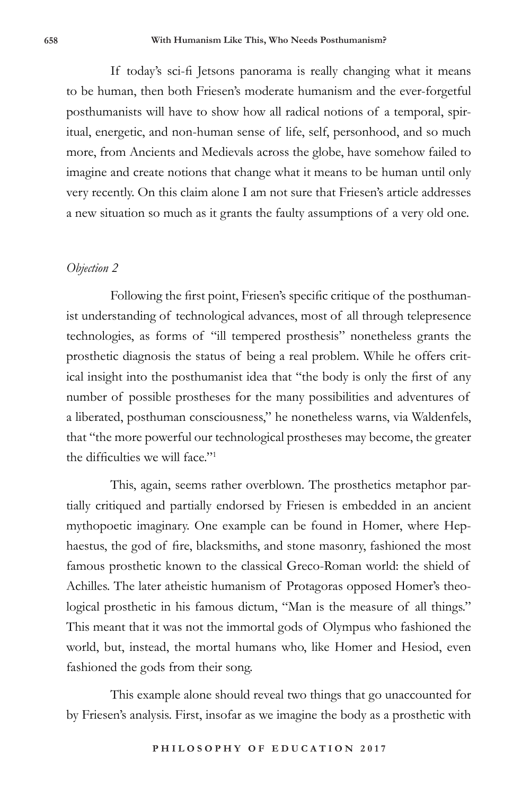If today's sci-fi Jetsons panorama is really changing what it means to be human, then both Friesen's moderate humanism and the ever-forgetful posthumanists will have to show how all radical notions of a temporal, spiritual, energetic, and non-human sense of life, self, personhood, and so much more, from Ancients and Medievals across the globe, have somehow failed to imagine and create notions that change what it means to be human until only very recently. On this claim alone I am not sure that Friesen's article addresses a new situation so much as it grants the faulty assumptions of a very old one.

#### *Objection 2*

Following the first point, Friesen's specific critique of the posthumanist understanding of technological advances, most of all through telepresence technologies, as forms of "ill tempered prosthesis" nonetheless grants the prosthetic diagnosis the status of being a real problem. While he offers critical insight into the posthumanist idea that "the body is only the first of any number of possible prostheses for the many possibilities and adventures of a liberated, posthuman consciousness," he nonetheless warns, via Waldenfels, that "the more powerful our technological prostheses may become, the greater the difficulties we will face."<sup>1</sup>

This, again, seems rather overblown. The prosthetics metaphor partially critiqued and partially endorsed by Friesen is embedded in an ancient mythopoetic imaginary. One example can be found in Homer, where Hephaestus, the god of fire, blacksmiths, and stone masonry, fashioned the most famous prosthetic known to the classical Greco-Roman world: the shield of Achilles. The later atheistic humanism of Protagoras opposed Homer's theological prosthetic in his famous dictum, "Man is the measure of all things." This meant that it was not the immortal gods of Olympus who fashioned the world, but, instead, the mortal humans who, like Homer and Hesiod, even fashioned the gods from their song.

This example alone should reveal two things that go unaccounted for by Friesen's analysis. First, insofar as we imagine the body as a prosthetic with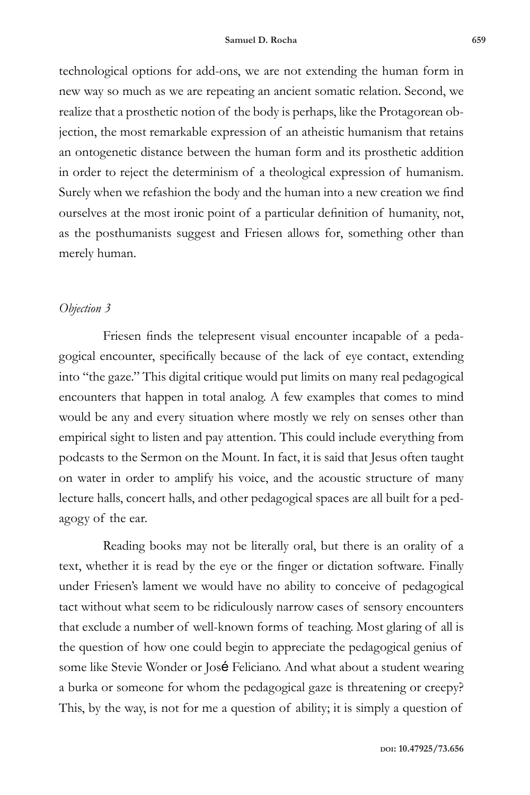technological options for add-ons, we are not extending the human form in new way so much as we are repeating an ancient somatic relation. Second, we realize that a prosthetic notion of the body is perhaps, like the Protagorean objection, the most remarkable expression of an atheistic humanism that retains an ontogenetic distance between the human form and its prosthetic addition in order to reject the determinism of a theological expression of humanism. Surely when we refashion the body and the human into a new creation we find ourselves at the most ironic point of a particular definition of humanity, not, as the posthumanists suggest and Friesen allows for, something other than merely human.

# *Objection 3*

Friesen finds the telepresent visual encounter incapable of a pedagogical encounter, specifically because of the lack of eye contact, extending into "the gaze." This digital critique would put limits on many real pedagogical encounters that happen in total analog. A few examples that comes to mind would be any and every situation where mostly we rely on senses other than empirical sight to listen and pay attention. This could include everything from podcasts to the Sermon on the Mount. In fact, it is said that Jesus often taught on water in order to amplify his voice, and the acoustic structure of many lecture halls, concert halls, and other pedagogical spaces are all built for a pedagogy of the ear.

Reading books may not be literally oral, but there is an orality of a text, whether it is read by the eye or the finger or dictation software. Finally under Friesen's lament we would have no ability to conceive of pedagogical tact without what seem to be ridiculously narrow cases of sensory encounters that exclude a number of well-known forms of teaching. Most glaring of all is the question of how one could begin to appreciate the pedagogical genius of some like Stevie Wonder or José Feliciano. And what about a student wearing a burka or someone for whom the pedagogical gaze is threatening or creepy? This, by the way, is not for me a question of ability; it is simply a question of